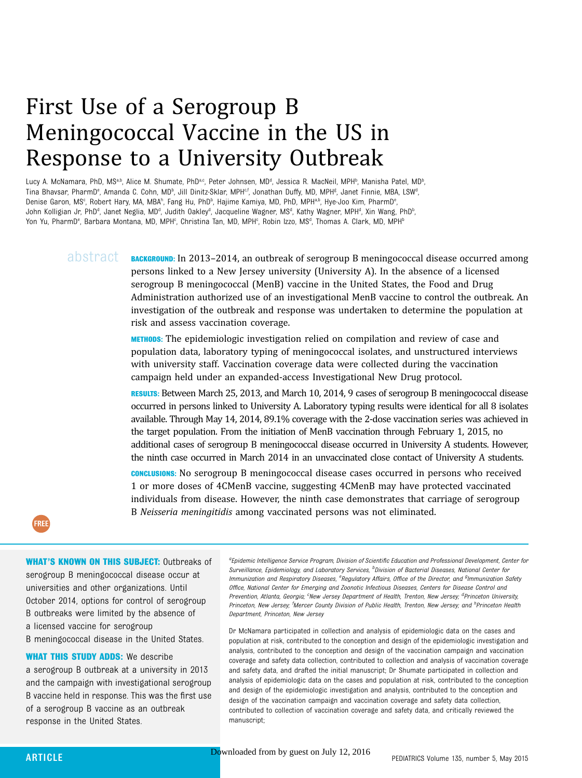# First Use of a Serogroup B Meningococcal Vaccine in the US in Response to a University Outbreak

Lucy A. McNamara, PhD, MS<sup>a,b</sup>, Alice M. Shumate, PhD<sup>a,c</sup>, Peter Johnsen, MD<sup>a</sup>, Jessica R. MacNeil, MPH<sup>b</sup>, Manisha Patel, MD<sup>b</sup> .<br>, Tina Bhavsar, PharmD<sup>e</sup>, Amanda C. Cohn, MD<sup>b</sup>, Jill Dinitz-Sklar, MPH<sup>ef</sup>, Jonathan Duffy, MD, MPH<sup>g</sup>, Janet Finnie, MBA, LSW<sup>4</sup> ا با Denise Garon, MS°, Robert Hary, MA, MBA<sup>h</sup>, Fang Hu, PhD<sup>b</sup>, Hajime Kamiya, MD, PhD, MPH<sup>a,b</sup>, Hye-Joo Kim, PharmD° , John Kolligian Jr, PhDª, Janet Neglia, MDª, Judith Oakleyª, Jacqueline Wagner, MSª, Kathy Wagner, MPHª, Xin Wang, PhD<sup>ь</sup> , Yon Yu, PharmD<sup>e</sup>, Barbara Montana, MD, MPH<sup>c</sup>, Christina Tan, MD, MPH<sup>c</sup>, Robin Izzo, MS<sup>d</sup>, Thomas A. Clark, MD, MPH<sup>b</sup>

> $abstraCt$  BACKGROUND: In 2013–2014, an outbreak of serogroup B meningococcal disease occurred among persons linked to a New Jersey university (University A). In the absence of a licensed serogroup B meningococcal (MenB) vaccine in the United States, the Food and Drug Administration authorized use of an investigational MenB vaccine to control the outbreak. An investigation of the outbreak and response was undertaken to determine the population at risk and assess vaccination coverage.

> > METHODS: The epidemiologic investigation relied on compilation and review of case and population data, laboratory typing of meningococcal isolates, and unstructured interviews with university staff. Vaccination coverage data were collected during the vaccination campaign held under an expanded-access Investigational New Drug protocol.

RESULTS: Between March 25, 2013, and March 10, 2014, 9 cases of serogroup B meningococcal disease occurred in persons linked to University A. Laboratory typing results were identical for all 8 isolates available. Through May 14, 2014, 89.1% coverage with the 2-dose vaccination series was achieved in the target population. From the initiation of MenB vaccination through February 1, 2015, no additional cases of serogroup B meningococcal disease occurred in University A students. However, the ninth case occurred in March 2014 in an unvaccinated close contact of University A students.

CONCLUSIONS: No serogroup B meningococcal disease cases occurred in persons who received 1 or more doses of 4CMenB vaccine, suggesting 4CMenB may have protected vaccinated individuals from disease. However, the ninth case demonstrates that carriage of serogroup B Neisseria meningitidis among vaccinated persons was not eliminated.



#### WHAT'S KNOWN ON THIS SUBJECT: Outbreaks of

serogroup B meningococcal disease occur at universities and other organizations. Until October 2014, options for control of serogroup B outbreaks were limited by the absence of a licensed vaccine for serogroup

B meningococcal disease in the United States.

WHAT THIS STUDY ADDS: We describe a serogroup B outbreak at a university in 2013 and the campaign with investigational serogroup B vaccine held in response. This was the first use of a serogroup B vaccine as an outbreak response in the United States.

<sup>a</sup>Epidemic Intelligence Service Program, Division of Scientific Education and Professional Development, Center for Surveillance, Epidemiology, and Laboratory Services, <sup>b</sup>Division of Bacterial Diseases, National Center for Immunization and Respiratory Diseases, <sup>e</sup>Regulatory Affairs, Office of the Director, and <sup>g</sup>Immunization Safety Office, National Center for Emerging and Zoonotic Infectious Diseases, Centers for Disease Control and Prevention, Atlanta, Georgia; <sup>c</sup>New Jersey Department of Health, Trenton, New Jersey; <sup>d</sup>Princeton University, Princeton, New Jersey; <sup>f</sup>Mercer County Division of Public Health, Trenton, New Jersey; and <sup>h</sup>Princeton Health Department, Princeton, New Jersey

Dr McNamara participated in collection and analysis of epidemiologic data on the cases and population at risk, contributed to the conception and design of the epidemiologic investigation and analysis, contributed to the conception and design of the vaccination campaign and vaccination coverage and safety data collection, contributed to collection and analysis of vaccination coverage and safety data, and drafted the initial manuscript; Dr Shumate participated in collection and analysis of epidemiologic data on the cases and population at risk, contributed to the conception and design of the epidemiologic investigation and analysis, contributed to the conception and design of the vaccination campaign and vaccination coverage and safety data collection, contributed to collection of vaccination coverage and safety data, and critically reviewed the manuscript;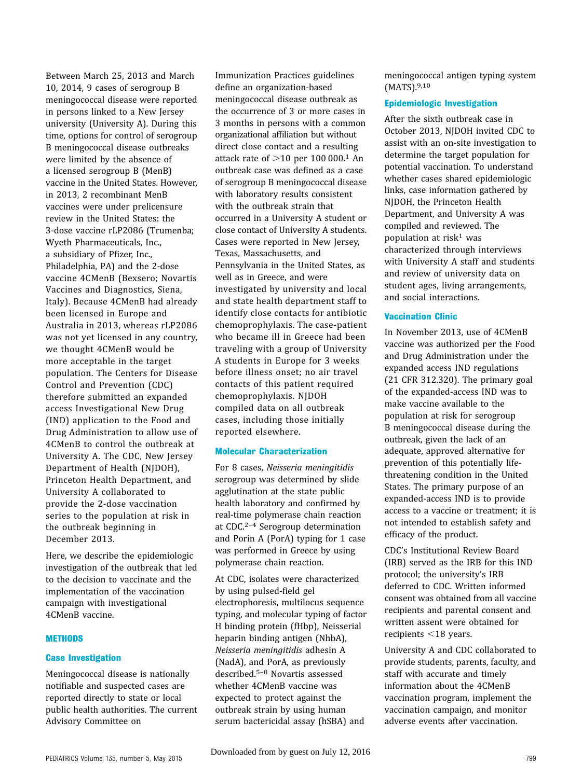Between March 25, 2013 and March 10, 2014, 9 cases of serogroup B meningococcal disease were reported in persons linked to a New Jersey university (University A). During this time, options for control of serogroup B meningococcal disease outbreaks were limited by the absence of a licensed serogroup B (MenB) vaccine in the United States. However, in 2013, 2 recombinant MenB vaccines were under prelicensure review in the United States: the 3-dose vaccine rLP2086 (Trumenba; Wyeth Pharmaceuticals, Inc., a subsidiary of Pfizer, Inc., Philadelphia, PA) and the 2-dose vaccine 4CMenB (Bexsero; Novartis Vaccines and Diagnostics, Siena, Italy). Because 4CMenB had already been licensed in Europe and Australia in 2013, whereas rLP2086 was not yet licensed in any country, we thought 4CMenB would be more acceptable in the target population. The Centers for Disease Control and Prevention (CDC) therefore submitted an expanded access Investigational New Drug (IND) application to the Food and Drug Administration to allow use of 4CMenB to control the outbreak at University A. The CDC, New Jersey Department of Health (NJDOH), Princeton Health Department, and University A collaborated to provide the 2-dose vaccination series to the population at risk in the outbreak beginning in December 2013.

Here, we describe the epidemiologic investigation of the outbreak that led to the decision to vaccinate and the implementation of the vaccination campaign with investigational 4CMenB vaccine.

#### **METHODS**

# Case Investigation

Meningococcal disease is nationally notifiable and suspected cases are reported directly to state or local public health authorities. The current Advisory Committee on

Immunization Practices guidelines define an organization-based meningococcal disease outbreak as the occurrence of 3 or more cases in 3 months in persons with a common organizational affiliation but without direct close contact and a resulting attack rate of  $>10$  per 100 000.<sup>1</sup> An outbreak case was defined as a case of serogroup B meningococcal disease with laboratory results consistent with the outbreak strain that occurred in a University A student or close contact of University A students. Cases were reported in New Jersey, Texas, Massachusetts, and Pennsylvania in the United States, as well as in Greece, and were investigated by university and local and state health department staff to identify close contacts for antibiotic chemoprophylaxis. The case-patient who became ill in Greece had been traveling with a group of University A students in Europe for 3 weeks before illness onset; no air travel contacts of this patient required chemoprophylaxis. NJDOH compiled data on all outbreak cases, including those initially reported elsewhere.

### Molecular Characterization

For 8 cases, Neisseria meningitidis serogroup was determined by slide agglutination at the state public health laboratory and confirmed by real-time polymerase chain reaction at CDC.2–<sup>4</sup> Serogroup determination and Porin A (PorA) typing for 1 case was performed in Greece by using polymerase chain reaction.

At CDC, isolates were characterized by using pulsed-field gel electrophoresis, multilocus sequence typing, and molecular typing of factor H binding protein (fHbp), Neisserial heparin binding antigen (NhbA), Neisseria meningitidis adhesin A (NadA), and PorA, as previously described.5–<sup>8</sup> Novartis assessed whether 4CMenB vaccine was expected to protect against the outbreak strain by using human serum bactericidal assay (hSBA) and

meningococcal antigen typing system (MATS).9,10

# Epidemiologic Investigation

After the sixth outbreak case in October 2013, NJDOH invited CDC to assist with an on-site investigation to determine the target population for potential vaccination. To understand whether cases shared epidemiologic links, case information gathered by NJDOH, the Princeton Health Department, and University A was compiled and reviewed. The population at risk<sup>1</sup> was characterized through interviews with University A staff and students and review of university data on student ages, living arrangements, and social interactions.

# Vaccination Clinic

In November 2013, use of 4CMenB vaccine was authorized per the Food and Drug Administration under the expanded access IND regulations (21 CFR 312.320). The primary goal of the expanded-access IND was to make vaccine available to the population at risk for serogroup B meningococcal disease during the outbreak, given the lack of an adequate, approved alternative for prevention of this potentially lifethreatening condition in the United States. The primary purpose of an expanded-access IND is to provide access to a vaccine or treatment; it is not intended to establish safety and efficacy of the product.

CDC's Institutional Review Board (IRB) served as the IRB for this IND protocol; the university's IRB deferred to CDC. Written informed consent was obtained from all vaccine recipients and parental consent and written assent were obtained for recipients  $<$ 18 years.

University A and CDC collaborated to provide students, parents, faculty, and staff with accurate and timely information about the 4CMenB vaccination program, implement the vaccination campaign, and monitor adverse events after vaccination.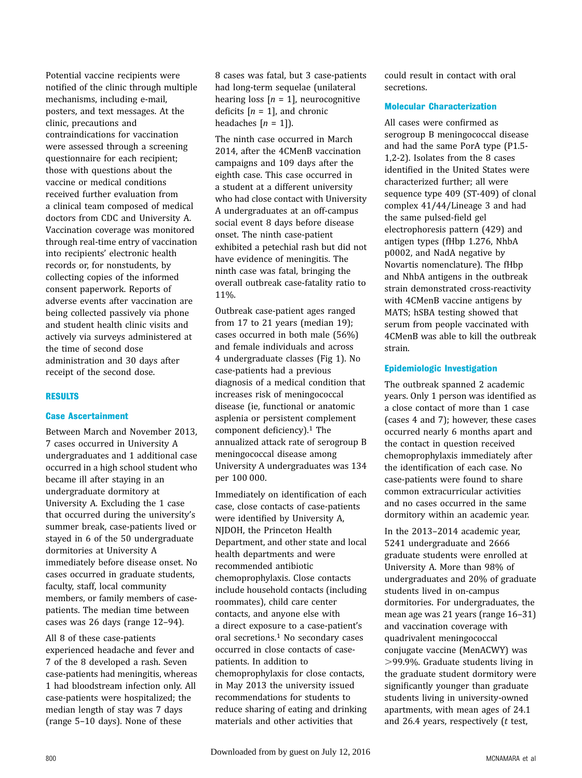Potential vaccine recipients were notified of the clinic through multiple mechanisms, including e-mail, posters, and text messages. At the clinic, precautions and contraindications for vaccination were assessed through a screening questionnaire for each recipient; those with questions about the vaccine or medical conditions received further evaluation from a clinical team composed of medical doctors from CDC and University A. Vaccination coverage was monitored through real-time entry of vaccination into recipients' electronic health records or, for nonstudents, by collecting copies of the informed consent paperwork. Reports of adverse events after vaccination are being collected passively via phone and student health clinic visits and actively via surveys administered at the time of second dose administration and 30 days after receipt of the second dose.

### RESULTS

### Case Ascertainment

Between March and November 2013, 7 cases occurred in University A undergraduates and 1 additional case occurred in a high school student who became ill after staying in an undergraduate dormitory at University A. Excluding the 1 case that occurred during the university's summer break, case-patients lived or stayed in 6 of the 50 undergraduate dormitories at University A immediately before disease onset. No cases occurred in graduate students, faculty, staff, local community members, or family members of casepatients. The median time between cases was 26 days (range 12–94).

All 8 of these case-patients experienced headache and fever and 7 of the 8 developed a rash. Seven case-patients had meningitis, whereas 1 had bloodstream infection only. All case-patients were hospitalized; the median length of stay was 7 days (range 5–10 days). None of these

8 cases was fatal, but 3 case-patients had long-term sequelae (unilateral hearing loss  $[n = 1]$ , neurocognitive deficits  $[n = 1]$ , and chronic headaches  $[n = 1]$ .

The ninth case occurred in March 2014, after the 4CMenB vaccination campaigns and 109 days after the eighth case. This case occurred in a student at a different university who had close contact with University A undergraduates at an off-campus social event 8 days before disease onset. The ninth case-patient exhibited a petechial rash but did not have evidence of meningitis. The ninth case was fatal, bringing the overall outbreak case-fatality ratio to 11%.

Outbreak case-patient ages ranged from 17 to 21 years (median 19); cases occurred in both male (56%) and female individuals and across 4 undergraduate classes (Fig 1). No case-patients had a previous diagnosis of a medical condition that increases risk of meningococcal disease (ie, functional or anatomic asplenia or persistent complement component deficiency).<sup>1</sup> The annualized attack rate of serogroup B meningococcal disease among University A undergraduates was 134 per 100 000.

Immediately on identification of each case, close contacts of case-patients were identified by University A, NJDOH, the Princeton Health Department, and other state and local health departments and were recommended antibiotic chemoprophylaxis. Close contacts include household contacts (including roommates), child care center contacts, and anyone else with a direct exposure to a case-patient's oral secretions.1 No secondary cases occurred in close contacts of casepatients. In addition to chemoprophylaxis for close contacts, in May 2013 the university issued recommendations for students to reduce sharing of eating and drinking materials and other activities that

could result in contact with oral secretions.

# Molecular Characterization

All cases were confirmed as serogroup B meningococcal disease and had the same PorA type (P1.5- 1,2-2). Isolates from the 8 cases identified in the United States were characterized further; all were sequence type 409 (ST-409) of clonal complex 41/44/Lineage 3 and had the same pulsed-field gel electrophoresis pattern (429) and antigen types (fHbp 1.276, NhbA p0002, and NadA negative by Novartis nomenclature). The fHbp and NhbA antigens in the outbreak strain demonstrated cross-reactivity with 4CMenB vaccine antigens by MATS; hSBA testing showed that serum from people vaccinated with 4CMenB was able to kill the outbreak strain.

# Epidemiologic Investigation

The outbreak spanned 2 academic years. Only 1 person was identified as a close contact of more than 1 case (cases 4 and 7); however, these cases occurred nearly 6 months apart and the contact in question received chemoprophylaxis immediately after the identification of each case. No case-patients were found to share common extracurricular activities and no cases occurred in the same dormitory within an academic year.

In the 2013–2014 academic year, 5241 undergraduate and 2666 graduate students were enrolled at University A. More than 98% of undergraduates and 20% of graduate students lived in on-campus dormitories. For undergraduates, the mean age was 21 years (range 16–31) and vaccination coverage with quadrivalent meningococcal conjugate vaccine (MenACWY) was .99.9%. Graduate students living in the graduate student dormitory were significantly younger than graduate students living in university-owned apartments, with mean ages of 24.1 and 26.4 years, respectively (t test,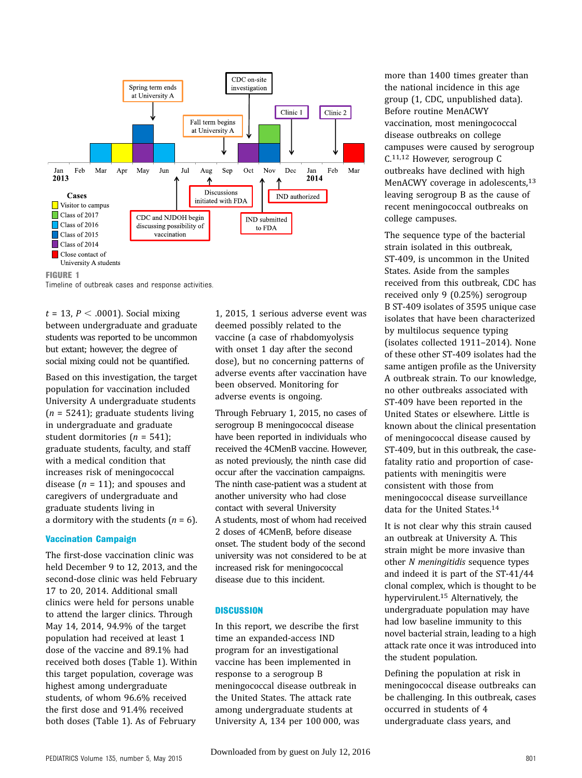

Timeline of outbreak cases and response activities.

 $t = 13$ ,  $P < .0001$ ). Social mixing between undergraduate and graduate students was reported to be uncommon but extant; however, the degree of social mixing could not be quantified.

Based on this investigation, the target population for vaccination included University A undergraduate students  $(n = 5241)$ ; graduate students living in undergraduate and graduate student dormitories ( $n = 541$ ); graduate students, faculty, and staff with a medical condition that increases risk of meningococcal disease  $(n = 11)$ ; and spouses and caregivers of undergraduate and graduate students living in a dormitory with the students  $(n = 6)$ .

#### Vaccination Campaign

The first-dose vaccination clinic was held December 9 to 12, 2013, and the second-dose clinic was held February 17 to 20, 2014. Additional small clinics were held for persons unable to attend the larger clinics. Through May 14, 2014, 94.9% of the target population had received at least 1 dose of the vaccine and 89.1% had received both doses (Table 1). Within this target population, coverage was highest among undergraduate students, of whom 96.6% received the first dose and 91.4% received both doses (Table 1). As of February

1, 2015, 1 serious adverse event was deemed possibly related to the vaccine (a case of rhabdomyolysis with onset 1 day after the second dose), but no concerning patterns of adverse events after vaccination have been observed. Monitoring for adverse events is ongoing.

Through February 1, 2015, no cases of serogroup B meningococcal disease have been reported in individuals who received the 4CMenB vaccine. However, as noted previously, the ninth case did occur after the vaccination campaigns. The ninth case-patient was a student at another university who had close contact with several University A students, most of whom had received 2 doses of 4CMenB, before disease onset. The student body of the second university was not considered to be at increased risk for meningococcal disease due to this incident.

#### **DISCUSSION**

In this report, we describe the first time an expanded-access IND program for an investigational vaccine has been implemented in response to a serogroup B meningococcal disease outbreak in the United States. The attack rate among undergraduate students at University A, 134 per 100 000, was more than 1400 times greater than the national incidence in this age group (1, CDC, unpublished data). Before routine MenACWY vaccination, most meningococcal disease outbreaks on college campuses were caused by serogroup C.11,12 However, serogroup C outbreaks have declined with high MenACWY coverage in adolescents,<sup>13</sup> leaving serogroup B as the cause of recent meningococcal outbreaks on college campuses.

The sequence type of the bacterial strain isolated in this outbreak, ST-409, is uncommon in the United States. Aside from the samples received from this outbreak, CDC has received only 9 (0.25%) serogroup B ST-409 isolates of 3595 unique case isolates that have been characterized by multilocus sequence typing (isolates collected 1911–2014). None of these other ST-409 isolates had the same antigen profile as the University A outbreak strain. To our knowledge, no other outbreaks associated with ST-409 have been reported in the United States or elsewhere. Little is known about the clinical presentation of meningococcal disease caused by ST-409, but in this outbreak, the casefatality ratio and proportion of casepatients with meningitis were consistent with those from meningococcal disease surveillance data for the United States.14

It is not clear why this strain caused an outbreak at University A. This strain might be more invasive than other N meningitidis sequence types and indeed it is part of the ST-41/44 clonal complex, which is thought to be hypervirulent.15 Alternatively, the undergraduate population may have had low baseline immunity to this novel bacterial strain, leading to a high attack rate once it was introduced into the student population.

Defining the population at risk in meningococcal disease outbreaks can be challenging. In this outbreak, cases occurred in students of 4 undergraduate class years, and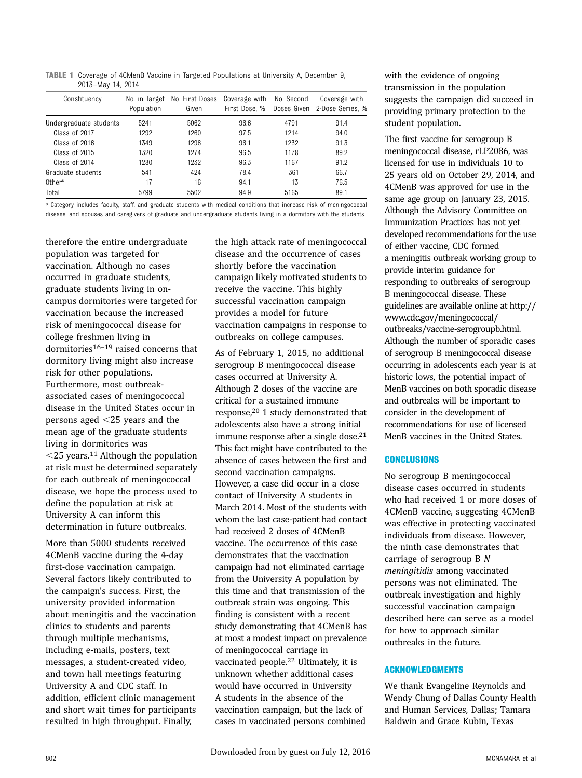TABLE 1 Coverage of 4CMenB Vaccine in Targeted Populations at University A, December 9, 2013–May 14, 2014

| Constituency           | No. in Target<br>Population | No. First Doses<br>Given | Coverage with<br>First Dose, % | No. Second<br>Doses Given | Coverage with<br>2-Dose Series, % |
|------------------------|-----------------------------|--------------------------|--------------------------------|---------------------------|-----------------------------------|
| Undergraduate students | 5241                        | 5062                     | 96.6                           | 4791                      | 91.4                              |
| Class of 2017          | 1292                        | 1260                     | 97.5                           | 1214                      | 94.0                              |
| Class of 2016          | 1349                        | 1296                     | 96.1                           | 1232                      | 91.3                              |
| Class of 2015          | 1320                        | 1274                     | 96.5                           | 1178                      | 89.2                              |
| Class of 2014          | 1280                        | 1232                     | 96.3                           | 1167                      | 91.2                              |
| Graduate students      | 541                         | 424                      | 78.4                           | 361                       | 66.7                              |
| $0$ ther $a$           | 17                          | 16                       | 94.1                           | 13                        | 76.5                              |
| Total                  | 5799                        | 5502                     | 94.9                           | 5165                      | 89.1                              |

a Category includes faculty, staff, and graduate students with medical conditions that increase risk of meningococcal disease, and spouses and caregivers of graduate and undergraduate students living in a dormitory with the students.

therefore the entire undergraduate population was targeted for vaccination. Although no cases occurred in graduate students, graduate students living in oncampus dormitories were targeted for vaccination because the increased risk of meningococcal disease for college freshmen living in dormitories<sup>16-19</sup> raised concerns that dormitory living might also increase risk for other populations. Furthermore, most outbreakassociated cases of meningococcal disease in the United States occur in persons aged  $<$ 25 years and the mean age of the graduate students living in dormitories was  $<$ 25 years.<sup>11</sup> Although the population at risk must be determined separately for each outbreak of meningococcal disease, we hope the process used to define the population at risk at University A can inform this determination in future outbreaks.

More than 5000 students received 4CMenB vaccine during the 4-day first-dose vaccination campaign. Several factors likely contributed to the campaign's success. First, the university provided information about meningitis and the vaccination clinics to students and parents through multiple mechanisms, including e-mails, posters, text messages, a student-created video, and town hall meetings featuring University A and CDC staff. In addition, efficient clinic management and short wait times for participants resulted in high throughput. Finally,

the high attack rate of meningococcal disease and the occurrence of cases shortly before the vaccination campaign likely motivated students to receive the vaccine. This highly successful vaccination campaign provides a model for future vaccination campaigns in response to outbreaks on college campuses.

As of February 1, 2015, no additional serogroup B meningococcal disease cases occurred at University A. Although 2 doses of the vaccine are critical for a sustained immune response,20 1 study demonstrated that adolescents also have a strong initial immune response after a single dose.<sup>21</sup> This fact might have contributed to the absence of cases between the first and second vaccination campaigns. However, a case did occur in a close contact of University A students in March 2014. Most of the students with whom the last case-patient had contact had received 2 doses of 4CMenB vaccine. The occurrence of this case demonstrates that the vaccination campaign had not eliminated carriage from the University A population by this time and that transmission of the outbreak strain was ongoing. This finding is consistent with a recent study demonstrating that 4CMenB has at most a modest impact on prevalence of meningococcal carriage in vaccinated people.22 Ultimately, it is unknown whether additional cases would have occurred in University A students in the absence of the vaccination campaign, but the lack of cases in vaccinated persons combined

with the evidence of ongoing transmission in the population suggests the campaign did succeed in providing primary protection to the student population.

The first vaccine for serogroup B meningococcal disease, rLP2086, was licensed for use in individuals 10 to 25 years old on October 29, 2014, and 4CMenB was approved for use in the same age group on January 23, 2015. Although the Advisory Committee on Immunization Practices has not yet developed recommendations for the use of either vaccine, CDC formed a meningitis outbreak working group to provide interim guidance for responding to outbreaks of serogroup B meningococcal disease. These guidelines are available online at [http://](http://www.cdc.gov/meningococcal/outbreaks/vaccine-serogroupb.html) [www.cdc.gov/meningococcal/](http://www.cdc.gov/meningococcal/outbreaks/vaccine-serogroupb.html) [outbreaks/vaccine-serogroupb.html.](http://www.cdc.gov/meningococcal/outbreaks/vaccine-serogroupb.html) Although the number of sporadic cases of serogroup B meningococcal disease occurring in adolescents each year is at historic lows, the potential impact of MenB vaccines on both sporadic disease and outbreaks will be important to consider in the development of recommendations for use of licensed MenB vaccines in the United States.

# **CONCLUSIONS**

No serogroup B meningococcal disease cases occurred in students who had received 1 or more doses of 4CMenB vaccine, suggesting 4CMenB was effective in protecting vaccinated individuals from disease. However, the ninth case demonstrates that carriage of serogroup B N meningitidis among vaccinated persons was not eliminated. The outbreak investigation and highly successful vaccination campaign described here can serve as a model for how to approach similar outbreaks in the future.

# ACKNOWLEDGMENTS

We thank Evangeline Reynolds and Wendy Chung of Dallas County Health and Human Services, Dallas; Tamara Baldwin and Grace Kubin, Texas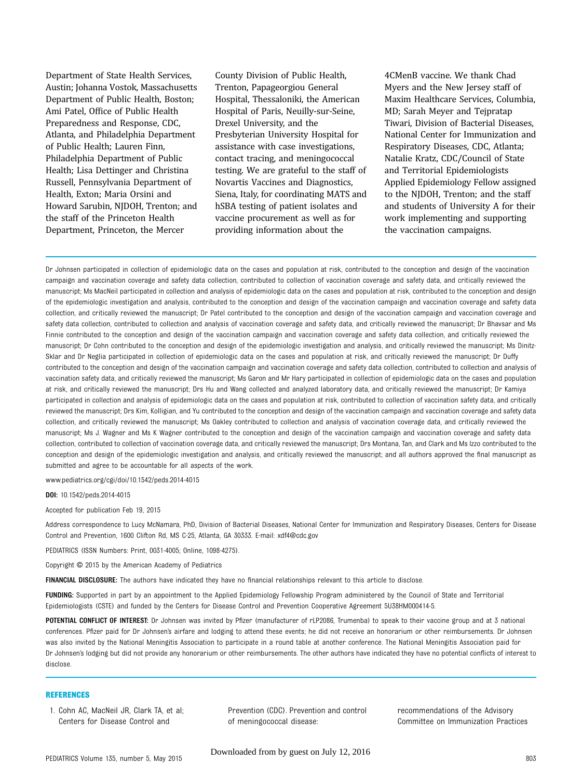Department of State Health Services, Austin; Johanna Vostok, Massachusetts Department of Public Health, Boston; Ami Patel, Office of Public Health Preparedness and Response, CDC, Atlanta, and Philadelphia Department of Public Health; Lauren Finn, Philadelphia Department of Public Health; Lisa Dettinger and Christina Russell, Pennsylvania Department of Health, Exton; Maria Orsini and Howard Sarubin, NJDOH, Trenton; and the staff of the Princeton Health Department, Princeton, the Mercer

County Division of Public Health, Trenton, Papageorgiou General Hospital, Thessaloniki, the American Hospital of Paris, Neuilly-sur-Seine, Drexel University, and the Presbyterian University Hospital for assistance with case investigations, contact tracing, and meningococcal testing. We are grateful to the staff of Novartis Vaccines and Diagnostics, Siena, Italy, for coordinating MATS and hSBA testing of patient isolates and vaccine procurement as well as for providing information about the

4CMenB vaccine. We thank Chad Myers and the New Jersey staff of Maxim Healthcare Services, Columbia, MD; Sarah Meyer and Tejpratap Tiwari, Division of Bacterial Diseases, National Center for Immunization and Respiratory Diseases, CDC, Atlanta; Natalie Kratz, CDC/Council of State and Territorial Epidemiologists Applied Epidemiology Fellow assigned to the NJDOH, Trenton; and the staff and students of University A for their work implementing and supporting the vaccination campaigns.

Dr Johnsen participated in collection of epidemiologic data on the cases and population at risk, contributed to the conception and design of the vaccination campaign and vaccination coverage and safety data collection, contributed to collection of vaccination coverage and safety data, and critically reviewed the manuscript; Ms MacNeil participated in collection and analysis of epidemiologic data on the cases and population at risk, contributed to the conception and design of the epidemiologic investigation and analysis, contributed to the conception and design of the vaccination campaign and vaccination coverage and safety data collection, and critically reviewed the manuscript; Dr Patel contributed to the conception and design of the vaccination campaign and vaccination coverage and safety data collection, contributed to collection and analysis of vaccination coverage and safety data, and critically reviewed the manuscript; Dr Bhavsar and Ms Finnie contributed to the conception and design of the vaccination campaign and vaccination coverage and safety data collection, and critically reviewed the manuscript; Dr Cohn contributed to the conception and design of the epidemiologic investigation and analysis, and critically reviewed the manuscript; Ms Dinitz-Sklar and Dr Neglia participated in collection of epidemiologic data on the cases and population at risk, and critically reviewed the manuscript; Dr Duffy contributed to the conception and design of the vaccination campaign and vaccination coverage and safety data collection, contributed to collection and analysis of vaccination safety data, and critically reviewed the manuscript; Ms Garon and Mr Hary participated in collection of epidemiologic data on the cases and population at risk, and critically reviewed the manuscript; Drs Hu and Wang collected and analyzed laboratory data, and critically reviewed the manuscript; Dr Kamiya participated in collection and analysis of epidemiologic data on the cases and population at risk, contributed to collection of vaccination safety data, and critically reviewed the manuscript; Drs Kim, Kolligian, and Yu contributed to the conception and design of the vaccination campaign and vaccination coverage and safety data collection, and critically reviewed the manuscript; Ms Oakley contributed to collection and analysis of vaccination coverage data, and critically reviewed the manuscript; Ms J. Wagner and Ms K Wagner contributed to the conception and design of the vaccination campaign and vaccination coverage and safety data collection, contributed to collection of vaccination coverage data, and critically reviewed the manuscript; Drs Montana, Tan, and Clark and Ms Izzo contributed to the conception and design of the epidemiologic investigation and analysis, and critically reviewed the manuscript; and all authors approved the final manuscript as submitted and agree to be accountable for all aspects of the work.

www.pediatrics.org/cgi/doi/10.1542/peds.2014-4015

DOI: 10.1542/peds.2014-4015

Accepted for publication Feb 19, 2015

Address correspondence to Lucy McNamara, PhD, Division of Bacterial Diseases, National Center for Immunization and Respiratory Diseases, Centers for Disease Control and Prevention, 1600 Clifton Rd, MS C-25, Atlanta, GA 30333. E-mail: [xdf4@cdc.gov](mailto:xdf4@cdc.gov)

PEDIATRICS (ISSN Numbers: Print, 0031-4005; Online, 1098-4275).

Copyright © 2015 by the American Academy of Pediatrics

FINANCIAL DISCLOSURE: The authors have indicated they have no financial relationships relevant to this article to disclose.

FUNDING: Supported in part by an appointment to the Applied Epidemiology Fellowship Program administered by the Council of State and Territorial Epidemiologists (CSTE) and funded by the Centers for Disease Control and Prevention Cooperative Agreement 5U38HM000414-5.

POTENTIAL CONFLICT OF INTEREST: Dr Johnsen was invited by Pfizer (manufacturer of rLP2086, Trumenba) to speak to their vaccine group and at 3 national conferences. Pfizer paid for Dr Johnsen's airfare and lodging to attend these events; he did not receive an honorarium or other reimbursements. Dr Johnsen was also invited by the National Meningitis Association to participate in a round table at another conference. The National Meningitis Association paid for Dr Johnsen's lodging but did not provide any honorarium or other reimbursements. The other authors have indicated they have no potential conflicts of interest to disclose.

#### **REFERENCES**

1. Cohn AC, MacNeil JR, Clark TA, et al; Centers for Disease Control and

Prevention (CDC). Prevention and control of meningococcal disease:

recommendations of the Advisory Committee on Immunization Practices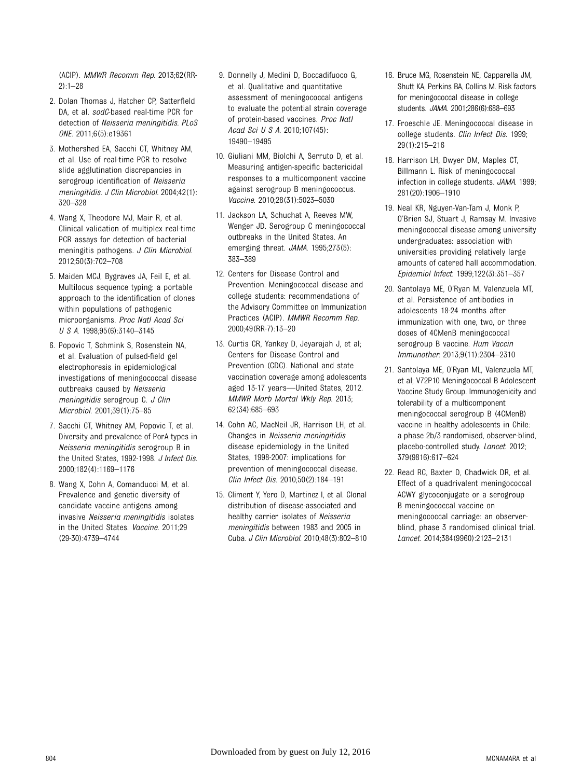(ACIP). MMWR Recomm Rep. 2013;62(RR-2):1–28

- 2. Dolan Thomas J, Hatcher CP, Satterfield DA, et al. sodC-based real-time PCR for detection of Neisseria meningitidis. PLoS ONE. 2011;6(5):e19361
- 3. Mothershed EA, Sacchi CT, Whitney AM, et al. Use of real-time PCR to resolve slide agglutination discrepancies in serogroup identification of Neisseria meningitidis. J Clin Microbiol. 2004;42(1): 320–328
- 4. Wang X, Theodore MJ, Mair R, et al. Clinical validation of multiplex real-time PCR assays for detection of bacterial meningitis pathogens. J Clin Microbiol. 2012;50(3):702–708
- 5. Maiden MCJ, Bygraves JA, Feil E, et al. Multilocus sequence typing: a portable approach to the identification of clones within populations of pathogenic microorganisms. Proc Natl Acad Sci USA. 1998;95(6):3140–3145
- 6. Popovic T, Schmink S, Rosenstein NA, et al. Evaluation of pulsed-field gel electrophoresis in epidemiological investigations of meningococcal disease outbreaks caused by Neisseria meningitidis serogroup C. J Clin Microbiol. 2001;39(1):75–85
- 7. Sacchi CT, Whitney AM, Popovic T, et al. Diversity and prevalence of PorA types in Neisseria meningitidis serogroup B in the United States, 1992-1998. J Infect Dis. 2000;182(4):1169–1176
- 8. Wang X, Cohn A, Comanducci M, et al. Prevalence and genetic diversity of candidate vaccine antigens among invasive Neisseria meningitidis isolates in the United States. Vaccine. 2011;29 (29-30):4739–4744
- 9. Donnelly J, Medini D, Boccadifuoco G, et al. Qualitative and quantitative assessment of meningococcal antigens to evaluate the potential strain coverage of protein-based vaccines. Proc Natl Acad Sci U S A. 2010;107(45): 19490–19495
- 10. Giuliani MM, Biolchi A, Serruto D, et al. Measuring antigen-specific bactericidal responses to a multicomponent vaccine against serogroup B meningococcus. Vaccine. 2010;28(31):5023–5030
- 11. Jackson LA, Schuchat A, Reeves MW, Wenger JD. Serogroup C meningococcal outbreaks in the United States. An emerging threat. JAMA. 1995;273(5): 383–389
- 12. Centers for Disease Control and Prevention. Meningococcal disease and college students: recommendations of the Advisory Committee on Immunization Practices (ACIP). MMWR Recomm Rep. 2000;49(RR-7):13–20
- 13. Curtis CR, Yankey D, Jeyarajah J, et al; Centers for Disease Control and Prevention (CDC). National and state vaccination coverage among adolescents aged 13-17 years—United States, 2012. MMWR Morb Mortal Wkly Rep. 2013; 62(34):685–693
- 14. Cohn AC, MacNeil JR, Harrison LH, et al. Changes in Neisseria meningitidis disease epidemiology in the United States, 1998-2007: implications for prevention of meningococcal disease. Clin Infect Dis. 2010;50(2):184–191
- 15. Climent Y, Yero D, Martinez I, et al. Clonal distribution of disease-associated and healthy carrier isolates of Neisseria meningitidis between 1983 and 2005 in Cuba. J Clin Microbiol. 2010;48(3):802–810
- 16. Bruce MG, Rosenstein NE, Capparella JM, Shutt KA, Perkins BA, Collins M. Risk factors for meningococcal disease in college students. JAMA. 2001;286(6):688–693
- 17. Froeschle JE. Meningococcal disease in college students. Clin Infect Dis. 1999; 29(1):215–216
- 18. Harrison LH, Dwyer DM, Maples CT, Billmann L. Risk of meningococcal infection in college students. JAMA. 1999; 281(20):1906–1910
- 19. Neal KR, Nguyen-Van-Tam J, Monk P, O'Brien SJ, Stuart J, Ramsay M. Invasive meningococcal disease among university undergraduates: association with universities providing relatively large amounts of catered hall accommodation. Epidemiol Infect. 1999;122(3):351–357
- 20. Santolaya ME, O'Ryan M, Valenzuela MT, et al. Persistence of antibodies in adolescents 18-24 months after immunization with one, two, or three doses of 4CMenB meningococcal serogroup B vaccine. Hum Vaccin Immunother. 2013;9(11):2304–2310
- 21. Santolaya ME, O'Ryan ML, Valenzuela MT, et al; V72P10 Meningococcal B Adolescent Vaccine Study Group. Immunogenicity and tolerability of a multicomponent meningococcal serogroup B (4CMenB) vaccine in healthy adolescents in Chile: a phase 2b/3 randomised, observer-blind, placebo-controlled study. Lancet. 2012; 379(9816):617–624
- 22. Read RC, Baxter D, Chadwick DR, et al. Effect of a quadrivalent meningococcal ACWY glycoconjugate or a serogroup B meningococcal vaccine on meningococcal carriage: an observerblind, phase 3 randomised clinical trial. Lancet. 2014;384(9960):2123–2131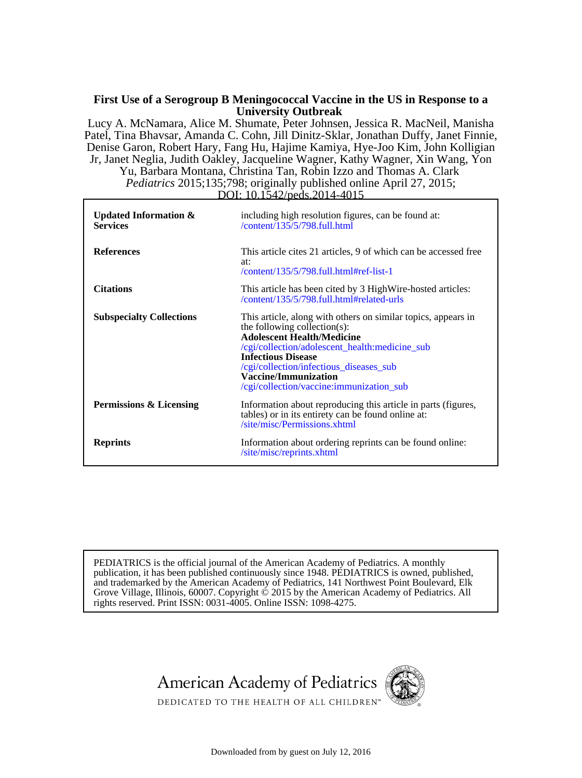# **University Outbreak First Use of a Serogroup B Meningococcal Vaccine in the US in Response to a**

*Pediatrics* 2015;135;798; originally published online April 27, 2015; Yu, Barbara Montana, Christina Tan, Robin Izzo and Thomas A. Clark Jr, Janet Neglia, Judith Oakley, Jacqueline Wagner, Kathy Wagner, Xin Wang, Yon Denise Garon, Robert Hary, Fang Hu, Hajime Kamiya, Hye-Joo Kim, John Kolligian Patel, Tina Bhavsar, Amanda C. Cohn, Jill Dinitz-Sklar, Jonathan Duffy, Janet Finnie, Lucy A. McNamara, Alice M. Shumate, Peter Johnsen, Jessica R. MacNeil, Manisha

DOI: 10.1542/peds.2014-4015  **Services Updated Information &** /content/135/5/798.full.html including high resolution figures, can be found at: **References** /content/135/5/798.full.html#ref-list-1 at: This article cites 21 articles, 9 of which can be accessed free **Citations** /content/135/5/798.full.html#related-urls This article has been cited by 3 HighWire-hosted articles: **Subspecialty Collections** /cgi/collection/vaccine:immunization\_sub **Vaccine/Immunization** /cgi/collection/infectious\_diseases\_sub **Infectious Disease** /cgi/collection/adolescent\_health:medicine\_sub **Adolescent Health/Medicine** the following collection(s): This article, along with others on similar topics, appears in **Permissions & Licensing** /site/misc/Permissions.xhtml tables) or in its entirety can be found online at: Information about reproducing this article in parts (figures,  **Reprints** /site/misc/reprints.xhtml Information about ordering reprints can be found online:

rights reserved. Print ISSN: 0031-4005. Online ISSN: 1098-4275. Grove Village, Illinois, 60007. Copyright © 2015 by the American Academy of Pediatrics. All and trademarked by the American Academy of Pediatrics, 141 Northwest Point Boulevard, Elk publication, it has been published continuously since 1948. PEDIATRICS is owned, published, PEDIATRICS is the official journal of the American Academy of Pediatrics. A monthly





DEDICATED TO THE HEALTH OF ALL CHILDREN™